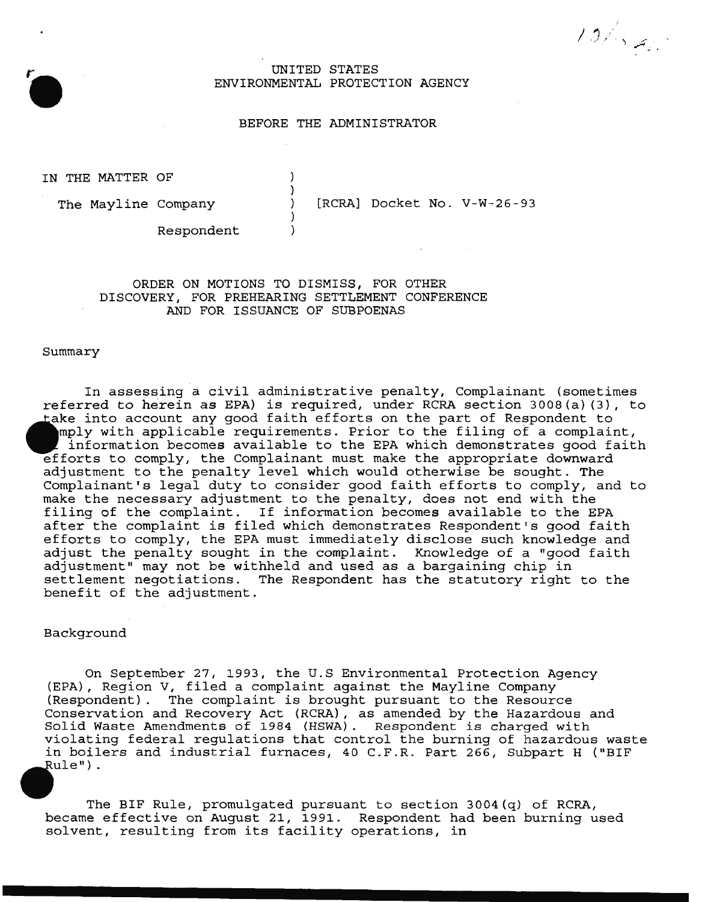/ 3/ . . *.*.

## UNITED STATES ENVIRONMENTAL PROTECTION AGENCY

### BEFORE THE ADMINISTRATOR

IN THE MATTER OF

The Mayline Company

[RCRA] Docket No. V-W-26-93

Respondent

# ORDER ON MOTIONS TO DISMISS, FOR OTHER DISCOVERY, FOR PREHEARING SETTLEMENT CONFERENCE AND FOR ISSUANCE OF SUBPOENAS

) )  $\lambda$ ) )

#### Summary

In assessing a civil administrative penalty, Complainant (sometimes referred to herein as EPA) is required, under RCRA section 3008(a) (3), to take into account any good faith efforts on the part of Respondent to mply with applicable requirements. Prior to the filing of a complaint, information becomes available to the EPA which demonstrates good faith efforts to comply, the Complainant must make the appropriate downward adjustment to the penalty level which would otherwise be sought. The Complainant's legal duty to consider good faith efforts to comply, and to make the necessary adjustment to the penalty, does not end with the mand the modessur, and assument to the penarty, about not the write the EPA after the complaint is filed which demonstrates Respondent's good faith efforts to comply, the EPA must immediately disclose such knowledge and adjust the penalty sought in the complaint. Knowledge of a "good faith adjustment" may not be withheld and used as a bargaining chip in settlement negotiations. The Respondent has the statutory right to the benefit of the adjustment.

## Background

On September 27, 1993, the U.S Environmental Protection Agency (EPA), Region V, filed a complaint against the Mayline Company (Respondent). The complaint is brought pursuant to the Resource Conservation and Recovery Act (RCRA) , as amended by the Hazardous and Solid Waste Amendments of 1984 {HSWA). Respondent is charged with violating federal regulations that control the burning of hazardous waste in boilers and industrial furnaces, 40 C.F.R. Part 266, Subpart H ("BIF ule") .

The BIF Rule, promulgated pursuant to section 3004(q) of RCRA, became effective on August 21, 1991. Respondent had been burning used solvent, resulting from its facility operations, in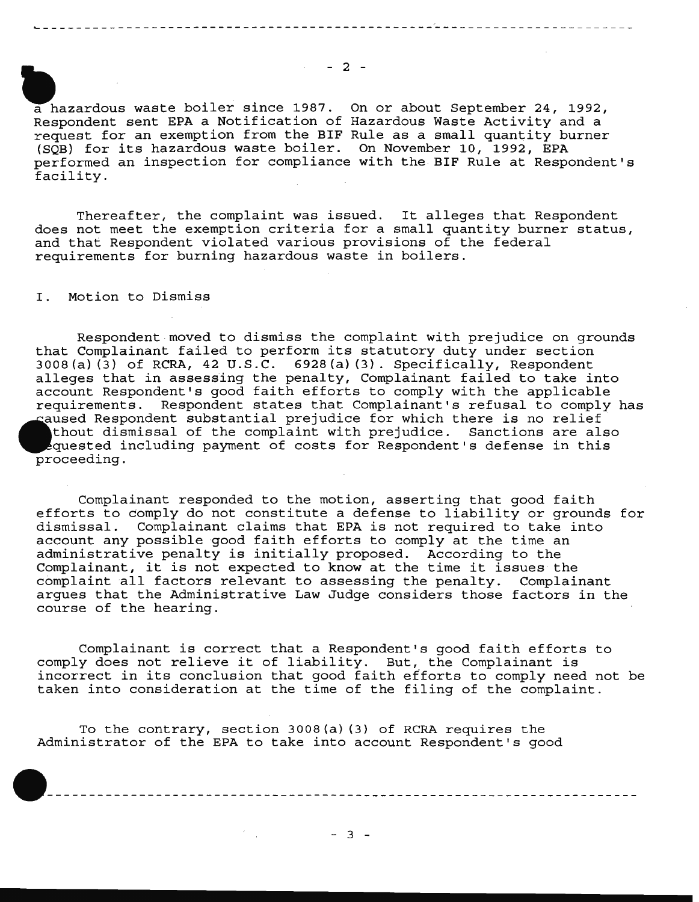$- 2 -$ 

a hazardous waste boiler since 1987. On or about September 24, 1992, Respondent sent EPA a Notification of Hazardous Waste Activity and a request for an exemption from the BIF Rule as a small quantity burner (SQB) for its hazardous waste boiler. On November 10, 1992, EPA performed an inspection for compliance with the BIF Rule at Respondent's facility.

Thereafter, the complaint was issued. It alleges that Respondent does not meet the exemption criteria for a small quantity burner status, and that Respondent violated various provisions of the federal requirements for burning hazardous waste in boilers.

I. Motion to Dismiss

Respondent moved to dismiss the complaint with prejudice on grounds that Complainant failed to perform its statutory duty under section 3008(a) (3) of RCRA, 42 U.S.C. 6928(a) (3). Specifically, Respondent alleges that in assessing the penalty, Complainant failed to take into account Respondent's good faith efforts to comply with the applicable requirements. Respondent states that Complainant's refusal to comply has caused Respondent substantial prejudice for which there is no relief thout dismissal of the complaint with prejudice. Sanctions are also quested including payment of costs for Respondent's defense in this proceeding.

Complainant responded to the motion, asserting that good faith efforts to comply do not constitute a defense to liability or grounds for dismissal. Complainant claims that EPA is not required to take into account any possible good faith efforts to comply at the time an administrative penalty is initially proposed. According to the Complainant, it is not expected to know at the time it issues the complaint all factors relevant to assessing the penalty. Complainant argues that the Administrative Law Judge considers those factors in the course of the hearing.

Complainant is correct that a Respondent's good faith efforts to comply does not relieve it of liability. But, the Complainant is incorrect in its conclusion that good faith efforts to comply need not be taken into consideration at the time of the filing of the complaint.

To the contrary, section 3008(a) (3) of RCRA requires the Administrator of the EPA to take into account Respondent's good

 $\frac{d}{dt} \left( \frac{d}{dt} \right) = \frac{1}{2} \left( \frac{d}{dt} \right)$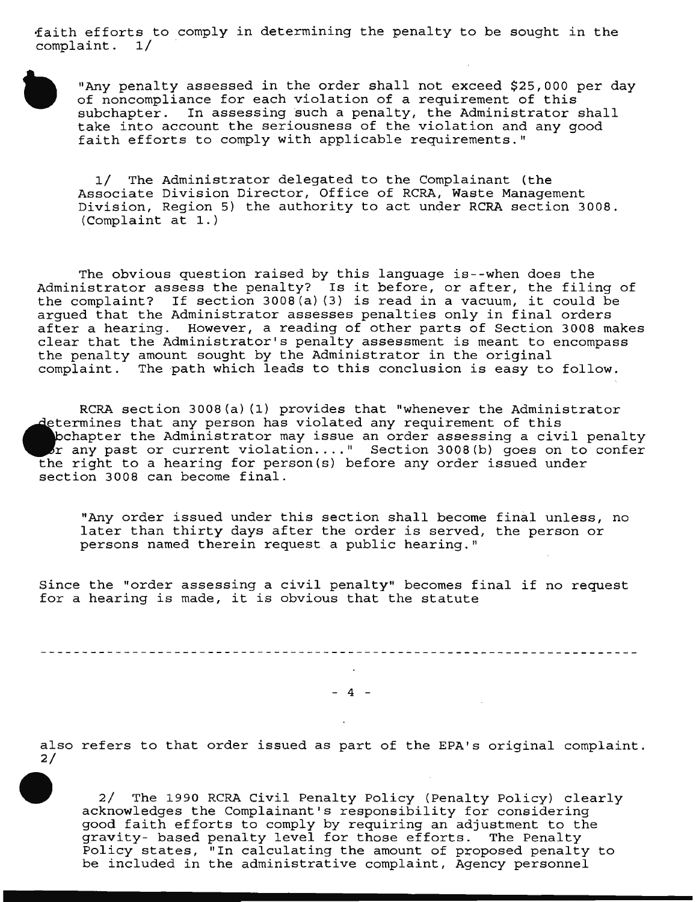~aith efforts to comply in determining the penalty to be sought in the complaint. 1/

"Any penalty assessed in the order shall not exceed \$25,000 per day of noncompliance for each violation of a requirement of this  $subchapter.$  In assessing such a penalty, the Administrator shall take into account the seriousness of the violation and any good faith efforts to comply with applicable requirements."

1/ The Administrator delegated to the Complainant (the Associate Division Director, Office of RCRA, Waste Management Division, Region 5) the authority to act under RCRA section 3008. (Complaint at 1.)

The obvious question raised by this language is--when does the Administrator assess the penalty? Is it before, or after, the filing of the complaint? If section 3008(a) (3) is read in a vacuum, it could be argued that the Administrator assesses penalties only in final orders after a hearing. However, a reading of other parts of Section 3008 makes clear that the Administrator's penalty assessment is meant to encompass the penalty amount sought by the Administrator in the original complaint. The path which leads to this conclusion is easy to follow.

RCRA section 3008(a) (1) provides that "whenever the Administrator determines that any person has violated any requirement of this bchapter the Administrator may issue an order assessing a civil penalty  $\sigma$  any past or current violation...." Section 3008(b) goes on to confer the right to a hearing for person(s) before any order issued under section 3008 can become final.

"Any order issued under this section shall become final unless, no later than thirty days after the order is served, the person or persons named therein request a public hearing."

Since the "order assessing a civil penalty" becomes final if no request for a hearing is made, it is obvious that the statute

\_\_\_\_\_\_\_\_\_\_\_\_\_\_\_\_\_\_\_\_\_\_\_\_\_\_\_\_\_\_\_\_\_\_\_ 

 $- 4 -$ 

also refers to that order issued as part of the EPA's original complaint. 2/

2/ The 1990 RCRA Civil Penalty Policy (Penalty Policy) clearly acknowledges the Complainant's responsibility for considering good faith efforts to comply by requiring an adjustment to the gravity- based penalty level for those efforts. The Penalty Policy states, "In calculating the amount of proposed penalty to be included in the administrative complaint, Agency personnel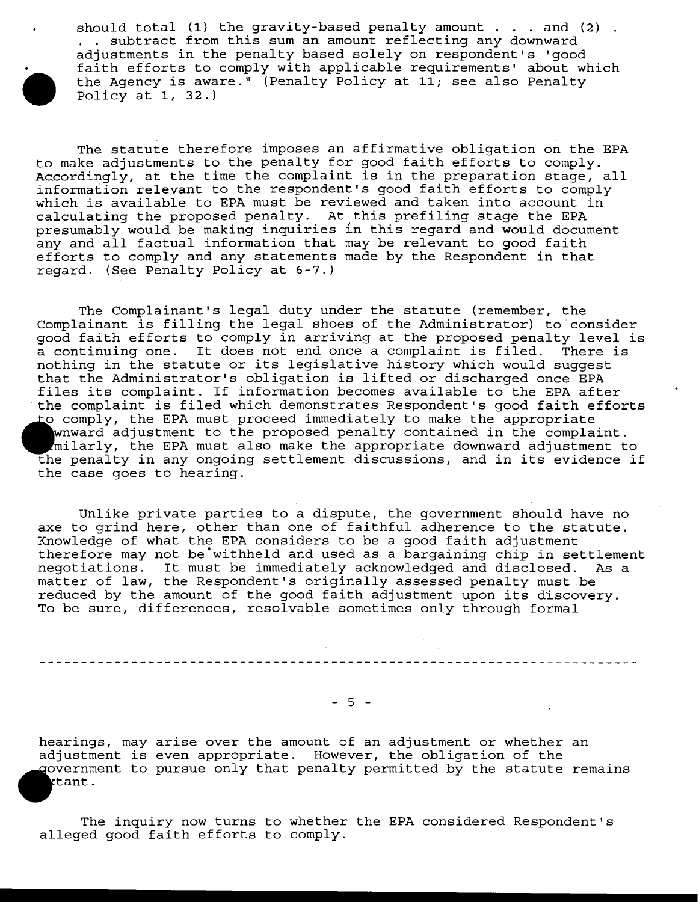should total (1) the gravity-based penalty amount  $\ldots$  and (2). . subtract from this sum an amount reflecting any downward adjustments in the penalty based solely on respondent's 'good faith efforts to comply with applicable requirements' about which the Agency is aware." (Penalty Policy at 11; see also Penalty Policy at 1, 32.)

The statute therefore imposes an affirmative obligation on the EPA to make adjustments to the penalty for good faith efforts to comply. Accordingly, at the time the complaint is in the preparation stage, all information relevant to the respondent's good faith efforts to comply which is available to EPA must be reviewed and taken into account in calculating the proposed penalty. At this prefiling stage the EPA presumably would be making inquiries in this regard and would document any and all factual information that may be relevant to good faith efforts to comply and any statements made by the Respondent in that regard. (See Penalty Policy at 6-7.)

The Complainant's legal duty under the statute (remember, the Complainant is filling the legal shoes of the Administrator) to consider good faith efforts to comply in arriving at the proposed penalty level is a continuing one. It does not end once a complaint is filed. There is nothing in the statute or its legislative history which would suggest that the Administrator's obligation is lifted or discharged once EPA files its complaint. If information becomes available to the EPA after the complaint is filed which demonstrates Respondent's good faith efforts to comply, the EPA must proceed immediately to make the appropriate wnward adjustment to the proposed penalty contained in the complaint. larly, the EPA must also make the appropriate downward adjustment to penalty in any ongoing settlement discussions, and in its evidence if the case goes to hearing.

Unlike private parties to a dispute, the government should have no axe to grind here, other than one of faithful adherence to the statute. Knowledge of what the EPA considers to be a good faith adjustment therefore may not be"withheld and used as a bargaining chip in settlement negotiations. It must be immediately acknowledged and disclosed. As a matter of law, the Respondent's originally assessed penalty must be reduced by the amount of the good faith adjustment upon its discovery. To be sure, differences, resolvable sometimes only through formal

 $-5 -$ 

hearings, may arise over the amount of an adjustment or whether an adjustment is even appropriate. However, the obligation of the government to pursue only that penalty permitted by the statute remains ktant.

The inquiry now turns to whether the EPA considered Respondent's alleged good faith efforts to comply.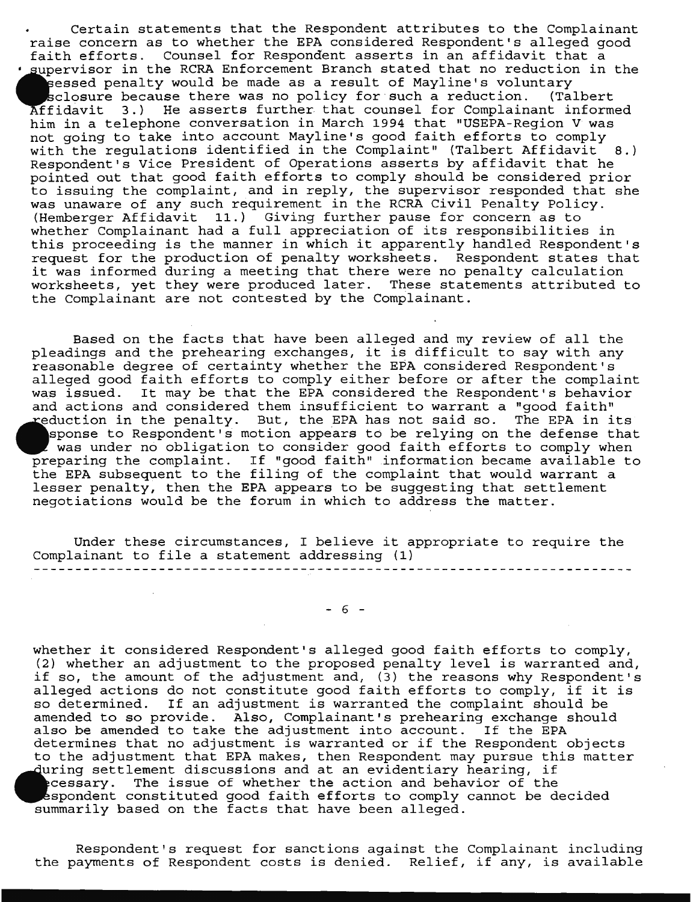Certain statements that the Respondent attributes to the Complainant raise concern as to whether the EPA considered Respondent's alleged good faith efforts. Counsel for Respondent asserts in an affidavit that a supervisor in the RCRA Enforcement Branch stated that no reduction in the eessed penalty would be made as a result of Mayline's voluntary<br>sclosure because there was no policy for such a reduction. (Talbert sclosure because there was no policy for such a reduction. fidavit 3.) He asserts further that counsel for Complainant informed him in a telephone conversation in March 1994 that "USEPA-Region V was not going to take into account Mayline's good faith efforts to comply with the regulations identified in the Complaint" (Talbert Affidavit  $8.$ ) Respondent's Vice President of Operations asserts by affidavit that he pointed out that good faith efforts to comply should be considered prior to issuing the complaint, and in reply, the supervisor responded that she was unaware of any such requirement in the RCRA Civil Penalty Policy. (Hemberger Affidavit 11.) Giving further pause for concern as to whether Complainant had a full appreciation of its responsibilities in this proceeding is the manner in which it apparently handled Respondent's request for the production of penalty worksheets. Respondent states that request for the production of penalty worksheets. Respondent states that there were no penalty calculation worksheets, yet they were produced later. These statements attributed to the Complainant are not contested by the Complainant.

Based on the facts that have been alleged and my review of all the pleadings and the prehearing exchanges, it is difficult to say with any reasonable degree of certainty whether the EPA considered Respondent's alleged good faith efforts to comply either before or after the complaint was issued. It may be that the EPA considered the Respondent's behavior and actions and considered them insufficient to warrant a "good faith" reduction in the penalty. But, the EPA has not said so. The EPA in its ponse to Respondent's motion appears to be relying on the defense that was under no obligation to consider good faith efforts to comply when preparing the complaint. If "good faith" information became available to the EPA subsequent to the filing of the complaint that would warrant a lesser penalty, then the EPA appears to be suggesting that settlement negotiations would be the forum in which to address the matter.

Under these circumstances, I believe it appropriate to require the Complainant to file a statement addressing (1)

 $- 6 -$ 

whether it considered Respondent's alleged good faith efforts to comply, (2) whether an adjustment to the proposed penalty level is warranted and, if so, the amount of the adjustment and, (3) the reasons why Respondent's alleged actions do not constitute good faith efforts to comply, if it is so determined. If an adjustment is warranted the complaint should be amended to so provide. Also, Complainant's prehearing exchange should also be amended to take the adjustment into account. If the EPA determines that no adjustment is warranted or if the Respondent objects to the adjustment that EPA makes, then Respondent may pursue this matter ing settlement discussions and at an evidentiary hearing, if cessary. The issue of whether the action and behavior of the spondent constituted good faith efforts to comply cannot be decided summarily based on the facts that have been alleged.

Respondent's request for sanctions against the Complainant including the payments of Respondent costs is denied. Relief, if any, is available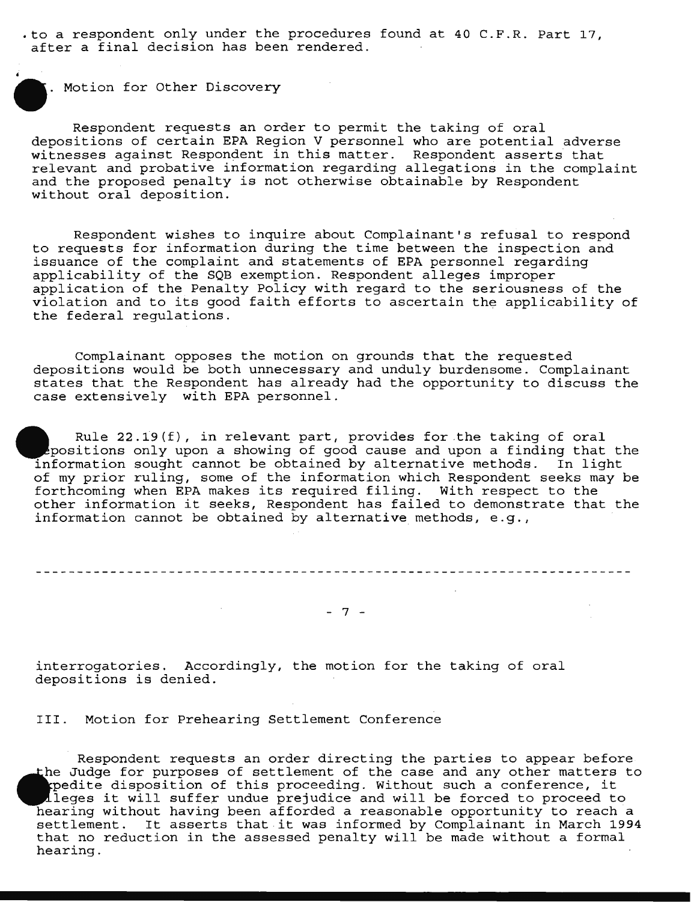.to a respondent only under the procedures found at 40 C.F.R. Part 17, after a final decision has been rendered.

. Motion for Other Discovery

Respondent requests an order to permit the taking of oral depositions of certain EPA Region V personnel who are potential adverse witnesses against Respondent in this matter. Respondent asserts that relevant and probative information regarding allegations in the complaint and the proposed penalty is not otherwise obtainable by Respondent without oral deposition.

Respondent wishes to inquire about Complainant's refusal to respond to requests for information during the time between the inspection and issuance of the complaint and statements of EPA personnel regarding applicability of the SQB exemption. Respondent alleges improper application of the Penalty Policy with regard to the seriousness of the violation and to its good faith efforts to ascertain the applicability of the federal regulations.

Complainant opposes the motion on grounds that the requested depositions would be both unnecessary and unduly burdensome. Complainant states that the Respondent has already had the opportunity to discuss the case extensively with EPA personnel.

Rule 22.19(f), in relevant part, provides for the taking of oral positions only upon a showing of good cause and upon a finding that the formation sought cannot be obtained by alternative methods. In light of my prior ruling, some of the information which Respondent seeks may be forthcoming when EPA makes its required filing. With respect to the other information it seeks, Respondent has failed to demonstrate that the information cannot be obtained by alternative methods, e.g.,

$$
-\frac{1}{2} \frac{1}{2} \left( \frac{1}{2} \left( \frac{1}{2} \left( \frac{1}{2} \left( \frac{1}{2} \left( \frac{1}{2} \left( \frac{1}{2} \left( \frac{1}{2} \left( \frac{1}{2} \left( \frac{1}{2} \left( \frac{1}{2} \left( \frac{1}{2} \left( \frac{1}{2} \left( \frac{1}{2} \right) \right) \right) \right) \right) \right) \right) \right) \right) \right) -\frac{1}{2} \left( \frac{1}{2} \left( \frac{1}{2} \left( \frac{1}{2} \left( \frac{1}{2} \left( \frac{1}{2} \left( \frac{1}{2} \left( \frac{1}{2} \left( \frac{1}{2} \left( \frac{1}{2} \right) \right) \right) \right) \right) \right) \right) \right) \right) -\frac{1}{2} \left( \frac{1}{2} \left( \frac{1}{2} \left( \frac{1}{2} \left( \frac{1}{2} \left( \frac{1}{2} \left( \frac{1}{2} \left( \frac{1}{2} \left( \frac{1}{2} \left( \frac{1}{2} \left( \frac{1}{2} \left( \frac{1}{2} \left( \frac{1}{2} \left( \frac{1}{2} \left( \frac{1}{2} \left( \frac{1}{2} \left( \frac{1}{2} \right) \right) \right) \right) \right) \right) \right) \right) \right) \right) \right) -\frac{1}{2} \left( \frac{1}{2} \left( \frac{1}{2} \left( \frac{1}{2} \left( \frac{1}{2} \left( \frac{1}{2} \left( \frac{1}{2} \left( \frac{1}{2} \left( \frac{1}{2} \left( \frac{1}{2} \left( \frac{1}{2} \left( \frac{1}{2} \left( \frac{1}{2} \left( \frac{1}{2} \left( \frac{1}{2} \right) \right) \right) \right) \right) \right) \right) \right) \right) \right) \right) -\frac{1}{2} \left( \frac{1}{2} \left( \frac{1}{2} \left( \frac{1}{2} \left( \frac{1}{2} \left( \frac{1}{2} \left( \frac{1}{2} \left( \frac{1}{2}
$$

- 7 -

interrogatories. Accordingly, the motion for the taking of oral depositions is denied.

III. Motion for Prehearing Settlement Conference

Respondent requests an order directing the parties to appear before the Judge for purposes of settlement of the case and any other matters to pedite disposition of this proceeding. Without such a conference, it  $\Lambda$ leges it will suffer undue prejudice and will be forced to proceed to hearing without having been afforded a reasonable opportunity to reach a nearing without having been afforded a reasonable opportunity to reach a<br>settlement. It asserts that it was informed by Complainant in March 1994 seccrement. It asserts that it was informed by comprainant in march 19.<br>that no reduction in the assessed penalty will be made without a formal hearing.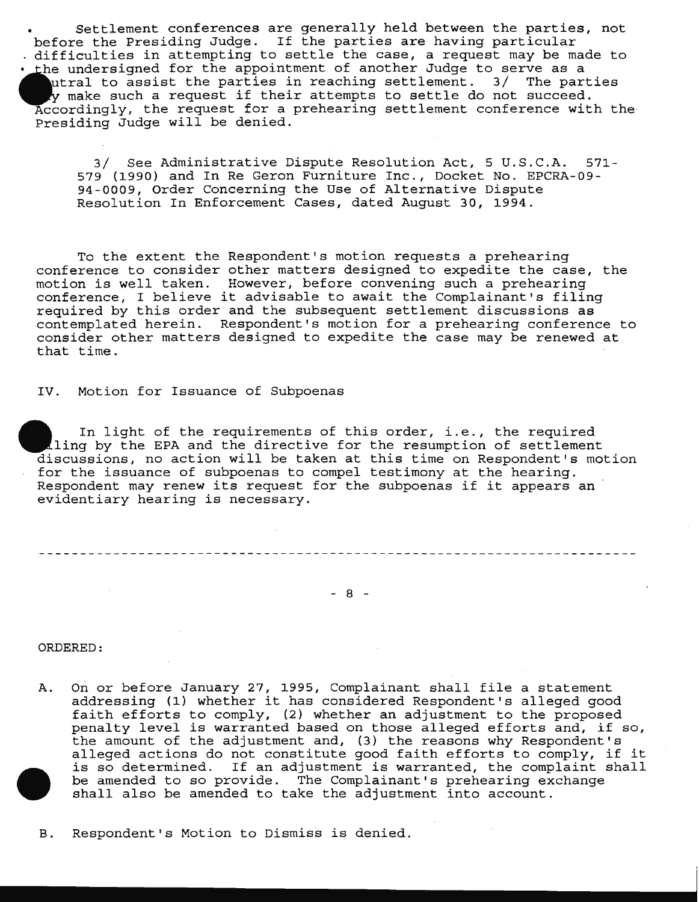Settlement conferences are generally held between the parties, not before the Presiding Judge. If the parties are having particular difficulties in attempting to settle the case, a request may be made to Ihe undersigned for the appointment of another Judge to serve as a utral to assist the parties in reaching settlement. 3/ The parties ly make such a request if their attempts to settle do not succeed. Accordingly, the request for a prehearing settlement conference with the Presiding Judge will be denied.

3/ See Administrative Dispute Resolution Act, 5 U.S.C.A. 571- 579 (1990) and In Re Geron Furniture Inc., Docket No. EPCRA-09- 94-0009, Order Concerning the Use of Alternative Dispute Resolution In Enforcement Cases, dated August 30, 1994.

To the extent the Respondent's motion requests a prehearing conference to consider other matters designed to expedite the case, the motion is well taken. However, before convening such a prehearing conference, I believe it advisable to await the Complainant's filing required by this order and the subsequent settlement discussions as contemplated herein. Respondent's motion for a prehearing conference to consider other matters designed to expedite the case may be renewed at that time.

IV. Motion for Issuance of Subpoenas

In light of the requirements of this order, i.e., the required ling by the EPA and the directive for the resumption of settlement discussions, no action will be taken at this time on Respondent's motion for the issuance of subpoenas to compel testimony at the hearing. Respondent may renew its request for the subpoenas if it appears an evidentiary hearing is necessary.

 $-8 -$ 

ORDERED:

- A. On or before January 27, 1995, Complainant shall file a statement addressing (1) whether it has considered Respondent's alleged good faith efforts to comply, (2) whether an adjustment to the proposed penalty level is warranted based on those alleged efforts and, if so, the amount of the adjustment and, (3) the reasons why Respondent's alleged actions do not constitute good faith efforts to comply, if it is so determined. If an adjustment is warranted, the complaint shall be amended to so provide. The Complainant's prehearing exchange shall also be amended to take the adjustment into account.
- B. Respondent's Motion to Dismiss is denied.